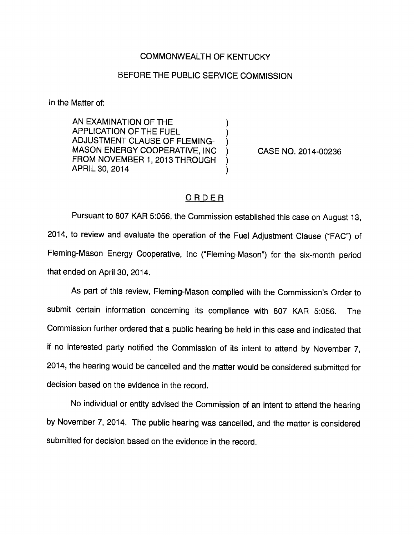## COMMONWEALTH OF KENTUCKY

## BEFORE THE PUBLIC SERVICE COMMISSION

In the Matter of:

AN EXAMINATION OF THE APPLICATION OF THE FUEL ADJUSTMENT CLAUSE OF FLEMING-MASON ENERGY COOPERATIVE, INC FROM NOVEMBER 1, 2013 THROUGH APRIL 30, 2014

CASE NO. 2014-00236

## **ORDER**

 $\lambda$ 

Pursuant to 807 KAR 5:056, the Commission established this case on August 13, 2014, to review and evaluate the operation of the Fuel Adjustment Clause ("FAC") of Fleming-Mason Energy Cooperative, Inc ("Fleming-Mason") for the six-month period that ended on April 30, 2014.

As part of this review, Fleming-Mason complied with the Commission's Order to submit certain information concerning its compliance with 807 KAR 5:056. The Commission further ordered that a public hearing be held in this case and indicated that if no interested party notified the Commission of its intent to attend by November 7, 2014, the hearing would be cancelled and the matter would be considered submitted for decision based on the evidence in the record.

No individual or entity advised the Commission of an intent to attend the hearing by November 7, 2014. The public hearing was cancelled, and the matter is considered submitted for decision based on the evidence in the record.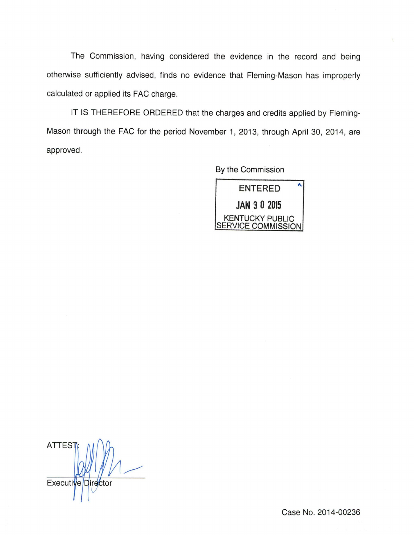The Commission, having considered the evidence in the record and being otherwise sufficiently advised, finds no evidence that Fleming-Mason has improperly calculated or applied its FAG charge.

IT IS THEREFORE ORDERED that the charges and credits applied by Fleming-Mason through the FAG for the period November 1, 2013, through April 30, 2014, are approved.

By the Commission

ENTERED JAN 3 0 2015 KENTUCKY PUBLIC SERVICE COMMISSION

**ATTES** Executive Director

Case No. 2014-00236